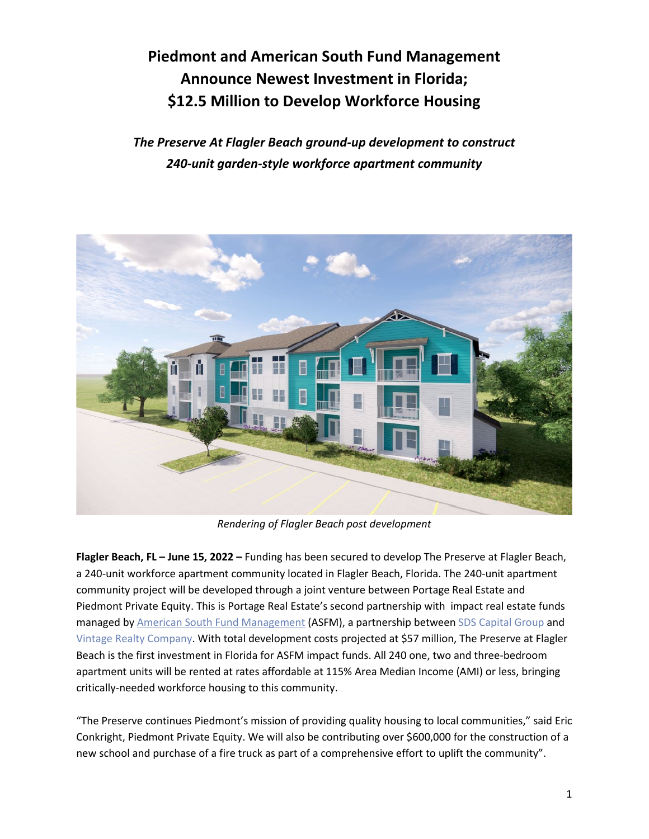## **Piedmont and American South Fund Management Announce Newest Investment in Florida; \$12.5 Million to Develop Workforce Housing**

*The Preserve At Flagler Beach ground-up development to construct 240-unit garden-style workforce apartment community* 



*Rendering of Flagler Beach post development*

**Flagler Beach, FL – June 15, 2022 –** Funding has been secured to develop The Preserve at Flagler Beach, a 240-unit workforce apartment community located in Flagler Beach, Florida. The 240-unit apartment community project will be developed through a joint venture between Portage Real Estate and Piedmont Private Equity. This is Portage Real Estate's second partnership with impact real estate funds managed by American South Fund Management (ASFM), a partnership between SDS Capital Group and Vintage Realty Company. With total development costs projected at \$57 million, The Preserve at Flagler Beach is the first investment in Florida for ASFM impact funds. All 240 one, two and three-bedroom apartment units will be rented at rates affordable at 115% Area Median Income (AMI) or less, bringing critically-needed workforce housing to this community.

"The Preserve continues Piedmont's mission of providing quality housing to local communities," said Eric Conkright, Piedmont Private Equity. We will also be contributing over \$600,000 for the construction of a new school and purchase of a fire truck as part of a comprehensive effort to uplift the community".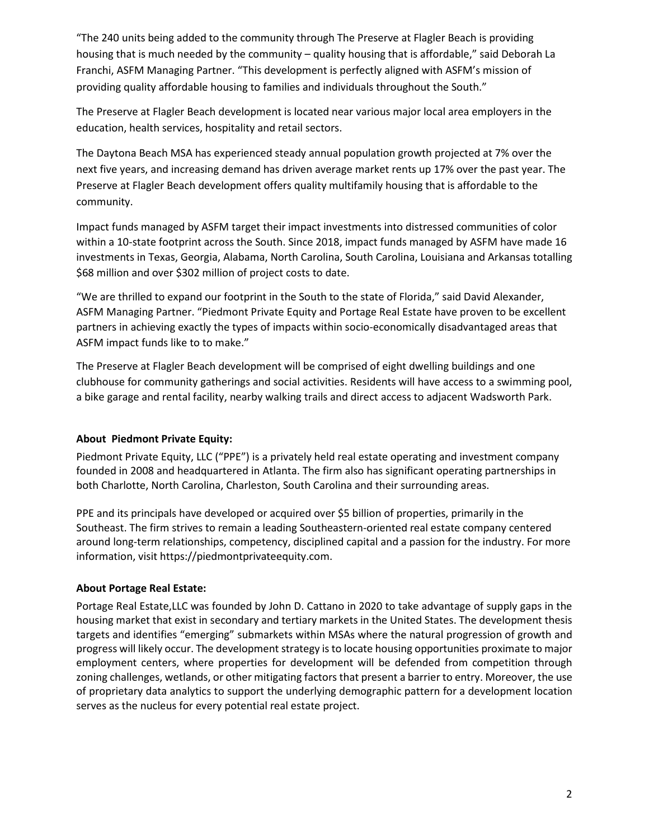"The 240 units being added to the community through The Preserve at Flagler Beach is providing housing that is much needed by the community – quality housing that is affordable," said Deborah La Franchi, ASFM Managing Partner. "This development is perfectly aligned with ASFM's mission of providing quality affordable housing to families and individuals throughout the South."

The Preserve at Flagler Beach development is located near various major local area employers in the education, health services, hospitality and retail sectors.

The Daytona Beach MSA has experienced steady annual population growth projected at 7% over the next five years, and increasing demand has driven average market rents up 17% over the past year. The Preserve at Flagler Beach development offers quality multifamily housing that is affordable to the community.

Impact funds managed by ASFM target their impact investments into distressed communities of color within a 10-state footprint across the South. Since 2018, impact funds managed by ASFM have made 16 investments in Texas, Georgia, Alabama, North Carolina, South Carolina, Louisiana and Arkansas totalling \$68 million and over \$302 million of project costs to date.

"We are thrilled to expand our footprint in the South to the state of Florida," said David Alexander, ASFM Managing Partner. "Piedmont Private Equity and Portage Real Estate have proven to be excellent partners in achieving exactly the types of impacts within socio-economically disadvantaged areas that ASFM impact funds like to to make."

The Preserve at Flagler Beach development will be comprised of eight dwelling buildings and one clubhouse for community gatherings and social activities. Residents will have access to a swimming pool, a bike garage and rental facility, nearby walking trails and direct access to adjacent Wadsworth Park.

## **About Piedmont Private Equity:**

Piedmont Private Equity, LLC ("PPE") is a privately held real estate operating and investment company founded in 2008 and headquartered in Atlanta. The firm also has significant operating partnerships in both Charlotte, North Carolina, Charleston, South Carolina and their surrounding areas.

PPE and its principals have developed or acquired over \$5 billion of properties, primarily in the Southeast. The firm strives to remain a leading Southeastern-oriented real estate company centered around long-term relationships, competency, disciplined capital and a passion for the industry. For more information, visit https://piedmontprivateequity.com.

## **About Portage Real Estate:**

Portage Real Estate,LLC was founded by John D. Cattano in 2020 to take advantage of supply gaps in the housing market that exist in secondary and tertiary markets in the United States. The development thesis targets and identifies "emerging" submarkets within MSAs where the natural progression of growth and progress will likely occur. The development strategy is to locate housing opportunities proximate to major employment centers, where properties for development will be defended from competition through zoning challenges, wetlands, or other mitigating factors that present a barrier to entry. Moreover, the use of proprietary data analytics to support the underlying demographic pattern for a development location serves as the nucleus for every potential real estate project.